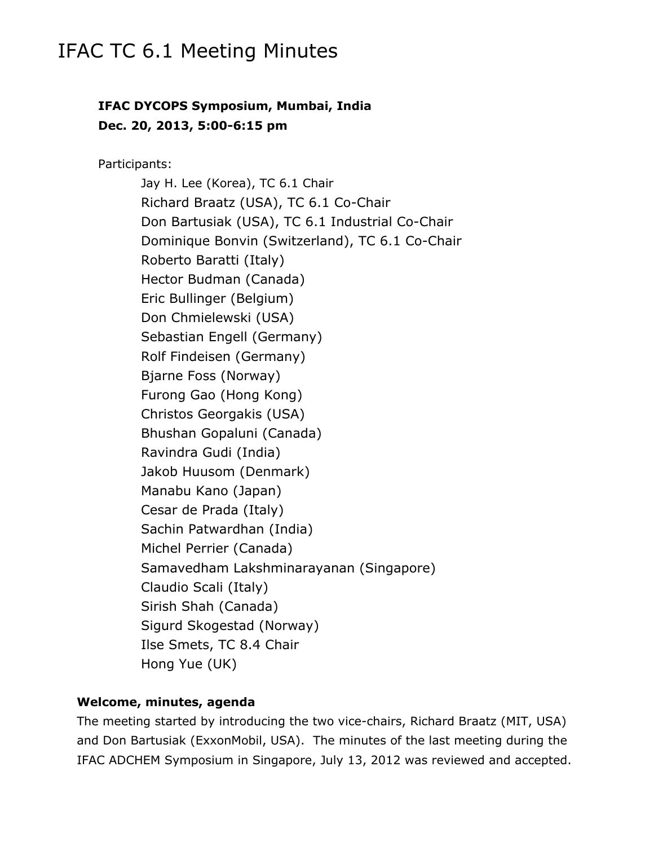# IFAC TC 6.1 Meeting Minutes

## **IFAC DYCOPS Symposium, Mumbai, India Dec. 20, 2013, 5:00-6:15 pm**

Participants:

Jay H. Lee (Korea), TC 6.1 Chair Richard Braatz (USA), TC 6.1 Co-Chair Don Bartusiak (USA), TC 6.1 Industrial Co-Chair Dominique Bonvin (Switzerland), TC 6.1 Co-Chair Roberto Baratti (Italy) Hector Budman (Canada) Eric Bullinger (Belgium) Don Chmielewski (USA) Sebastian Engell (Germany) Rolf Findeisen (Germany) Bjarne Foss (Norway) Furong Gao (Hong Kong) Christos Georgakis (USA) Bhushan Gopaluni (Canada) Ravindra Gudi (India) Jakob Huusom (Denmark) Manabu Kano (Japan) Cesar de Prada (Italy) Sachin Patwardhan (India) Michel Perrier (Canada) Samavedham Lakshminarayanan (Singapore) Claudio Scali (Italy) Sirish Shah (Canada) Sigurd Skogestad (Norway) Ilse Smets, TC 8.4 Chair Hong Yue (UK)

### **Welcome, minutes, agenda**

The meeting started by introducing the two vice-chairs, Richard Braatz (MIT, USA) and Don Bartusiak (ExxonMobil, USA). The minutes of the last meeting during the IFAC ADCHEM Symposium in Singapore, July 13, 2012 was reviewed and accepted.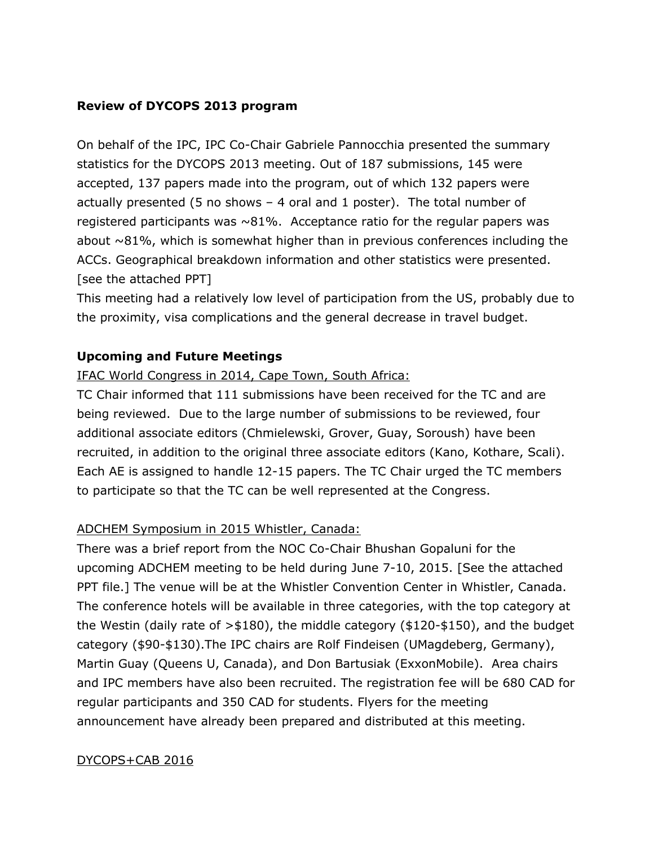#### **Review of DYCOPS 2013 program**

On behalf of the IPC, IPC Co-Chair Gabriele Pannocchia presented the summary statistics for the DYCOPS 2013 meeting. Out of 187 submissions, 145 were accepted, 137 papers made into the program, out of which 132 papers were actually presented (5 no shows – 4 oral and 1 poster). The total number of registered participants was  $\sim$ 81%. Acceptance ratio for the regular papers was about  $~81\%$ , which is somewhat higher than in previous conferences including the ACCs. Geographical breakdown information and other statistics were presented. [see the attached PPT]

This meeting had a relatively low level of participation from the US, probably due to the proximity, visa complications and the general decrease in travel budget.

#### **Upcoming and Future Meetings**

#### IFAC World Congress in 2014, Cape Town, South Africa:

TC Chair informed that 111 submissions have been received for the TC and are being reviewed. Due to the large number of submissions to be reviewed, four additional associate editors (Chmielewski, Grover, Guay, Soroush) have been recruited, in addition to the original three associate editors (Kano, Kothare, Scali). Each AE is assigned to handle 12-15 papers. The TC Chair urged the TC members to participate so that the TC can be well represented at the Congress.

#### ADCHEM Symposium in 2015 Whistler, Canada:

There was a brief report from the NOC Co-Chair Bhushan Gopaluni for the upcoming ADCHEM meeting to be held during June 7-10, 2015. [See the attached PPT file.] The venue will be at the Whistler Convention Center in Whistler, Canada. The conference hotels will be available in three categories, with the top category at the Westin (daily rate of >\$180), the middle category (\$120-\$150), and the budget category (\$90-\$130).The IPC chairs are Rolf Findeisen (UMagdeberg, Germany), Martin Guay (Queens U, Canada), and Don Bartusiak (ExxonMobile). Area chairs and IPC members have also been recruited. The registration fee will be 680 CAD for regular participants and 350 CAD for students. Flyers for the meeting announcement have already been prepared and distributed at this meeting.

#### DYCOPS+CAB 2016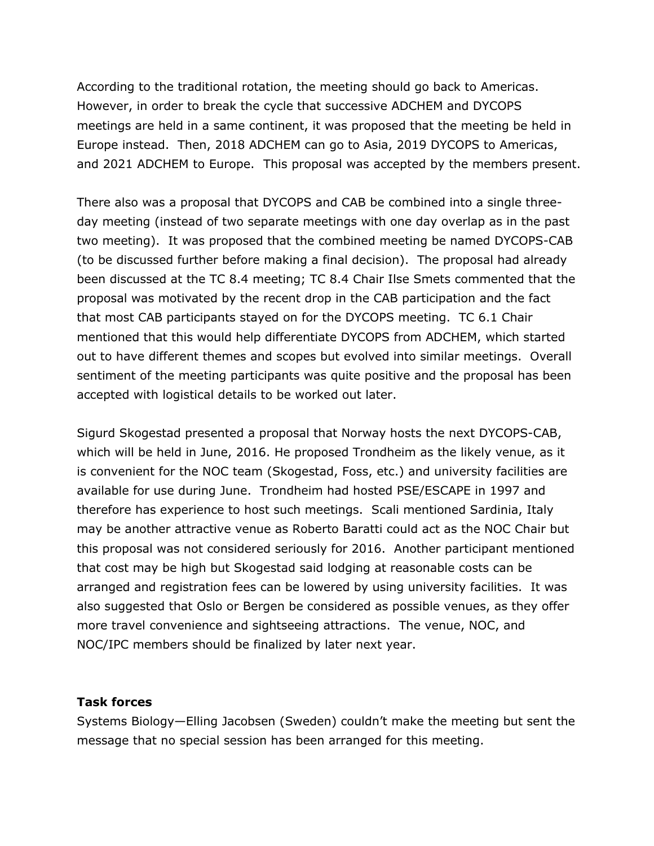According to the traditional rotation, the meeting should go back to Americas. However, in order to break the cycle that successive ADCHEM and DYCOPS meetings are held in a same continent, it was proposed that the meeting be held in Europe instead. Then, 2018 ADCHEM can go to Asia, 2019 DYCOPS to Americas, and 2021 ADCHEM to Europe. This proposal was accepted by the members present.

There also was a proposal that DYCOPS and CAB be combined into a single threeday meeting (instead of two separate meetings with one day overlap as in the past two meeting). It was proposed that the combined meeting be named DYCOPS-CAB (to be discussed further before making a final decision). The proposal had already been discussed at the TC 8.4 meeting; TC 8.4 Chair Ilse Smets commented that the proposal was motivated by the recent drop in the CAB participation and the fact that most CAB participants stayed on for the DYCOPS meeting. TC 6.1 Chair mentioned that this would help differentiate DYCOPS from ADCHEM, which started out to have different themes and scopes but evolved into similar meetings. Overall sentiment of the meeting participants was quite positive and the proposal has been accepted with logistical details to be worked out later.

Sigurd Skogestad presented a proposal that Norway hosts the next DYCOPS-CAB, which will be held in June, 2016. He proposed Trondheim as the likely venue, as it is convenient for the NOC team (Skogestad, Foss, etc.) and university facilities are available for use during June. Trondheim had hosted PSE/ESCAPE in 1997 and therefore has experience to host such meetings. Scali mentioned Sardinia, Italy may be another attractive venue as Roberto Baratti could act as the NOC Chair but this proposal was not considered seriously for 2016. Another participant mentioned that cost may be high but Skogestad said lodging at reasonable costs can be arranged and registration fees can be lowered by using university facilities. It was also suggested that Oslo or Bergen be considered as possible venues, as they offer more travel convenience and sightseeing attractions. The venue, NOC, and NOC/IPC members should be finalized by later next year.

#### **Task forces**

Systems Biology—Elling Jacobsen (Sweden) couldn't make the meeting but sent the message that no special session has been arranged for this meeting.